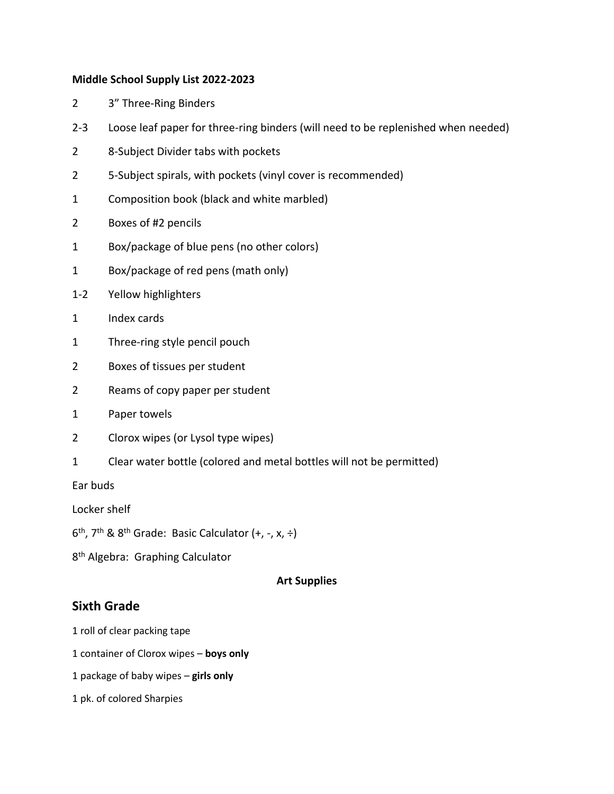#### **Middle School Supply List 2022-2023**

- 2 3" Three-Ring Binders
- 2-3 Loose leaf paper for three-ring binders (will need to be replenished when needed)
- 2 8-Subject Divider tabs with pockets
- 2 5-Subject spirals, with pockets (vinyl cover is recommended)
- 1 Composition book (black and white marbled)
- 2 Boxes of #2 pencils
- 1 Box/package of blue pens (no other colors)
- 1 Box/package of red pens (math only)
- 1-2 Yellow highlighters
- 1 Index cards
- 1 Three-ring style pencil pouch
- 2 Boxes of tissues per student
- 2 Reams of copy paper per student
- 1 Paper towels
- 2 Clorox wipes (or Lysol type wipes)
- 1 Clear water bottle (colored and metal bottles will not be permitted)

Ear buds

Locker shelf

6<sup>th</sup>, 7<sup>th</sup> & 8<sup>th</sup> Grade: Basic Calculator (+, -, x, ÷)

8<sup>th</sup> Algebra: Graphing Calculator

### **Art Supplies**

# **Sixth Grade**

- 1 roll of clear packing tape
- 1 container of Clorox wipes **boys only**
- 1 package of baby wipes **girls only**
- 1 pk. of colored Sharpies